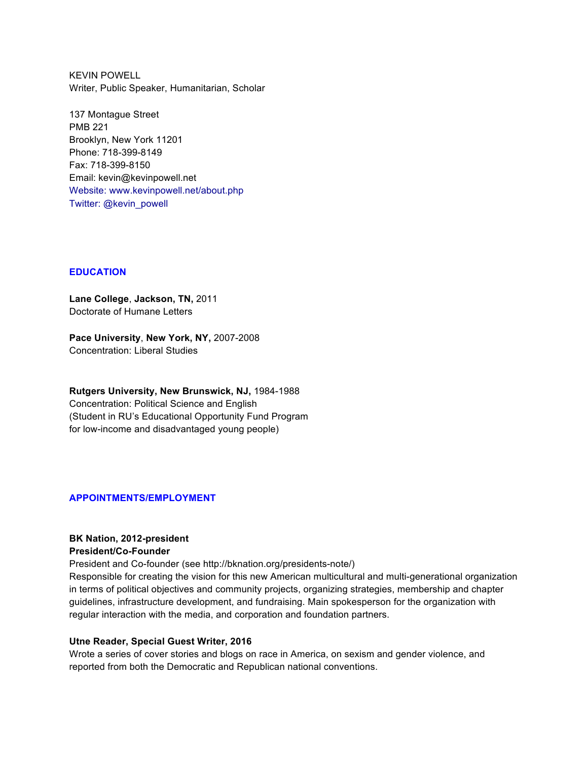KEVIN POWELL Writer, Public Speaker, Humanitarian, Scholar

137 Montague Street PMB 221 Brooklyn, New York 11201 Phone: 718-399-8149 Fax: 718-399-8150 Email: kevin@kevinpowell.net Website: www.kevinpowell.net/about.php Twitter: @kevin\_powell

## **EDUCATION**

**Lane College**, **Jackson, TN,** 2011 Doctorate of Humane Letters

**Pace University**, **New York, NY,** 2007-2008 Concentration: Liberal Studies

**Rutgers University, New Brunswick, NJ,** 1984-1988 Concentration: Political Science and English (Student in RU's Educational Opportunity Fund Program for low-income and disadvantaged young people)

## **APPOINTMENTS/EMPLOYMENT**

### **BK Nation, 2012-president President/Co-Founder**

President and Co-founder (see http://bknation.org/presidents-note/)

Responsible for creating the vision for this new American multicultural and multi-generational organization in terms of political objectives and community projects, organizing strategies, membership and chapter guidelines, infrastructure development, and fundraising. Main spokesperson for the organization with regular interaction with the media, and corporation and foundation partners.

## **Utne Reader, Special Guest Writer, 2016**

Wrote a series of cover stories and blogs on race in America, on sexism and gender violence, and reported from both the Democratic and Republican national conventions.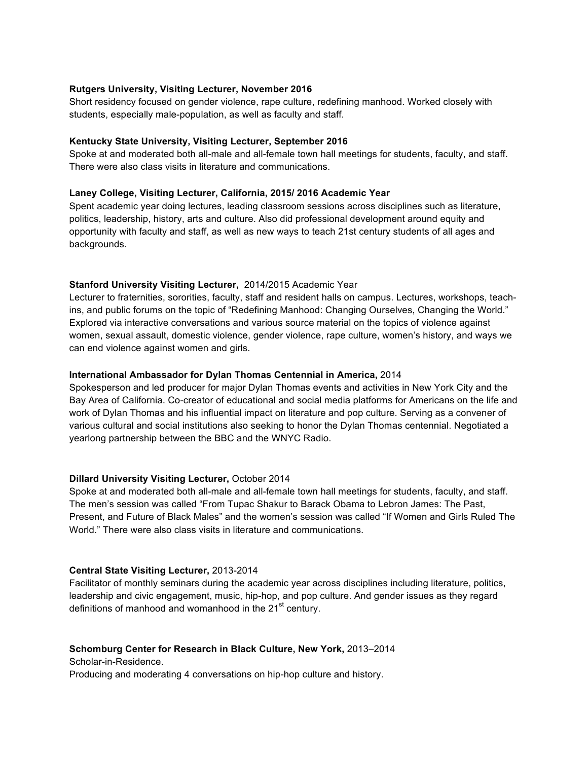## **Rutgers University, Visiting Lecturer, November 2016**

Short residency focused on gender violence, rape culture, redefining manhood. Worked closely with students, especially male-population, as well as faculty and staff.

## **Kentucky State University, Visiting Lecturer, September 2016**

Spoke at and moderated both all-male and all-female town hall meetings for students, faculty, and staff. There were also class visits in literature and communications.

## **Laney College, Visiting Lecturer, California, 2015/ 2016 Academic Year**

Spent academic year doing lectures, leading classroom sessions across disciplines such as literature, politics, leadership, history, arts and culture. Also did professional development around equity and opportunity with faculty and staff, as well as new ways to teach 21st century students of all ages and backgrounds.

# **Stanford University Visiting Lecturer,** 2014/2015 Academic Year

Lecturer to fraternities, sororities, faculty, staff and resident halls on campus. Lectures, workshops, teachins, and public forums on the topic of "Redefining Manhood: Changing Ourselves, Changing the World." Explored via interactive conversations and various source material on the topics of violence against women, sexual assault, domestic violence, gender violence, rape culture, women's history, and ways we can end violence against women and girls.

## **International Ambassador for Dylan Thomas Centennial in America,** 2014

Spokesperson and led producer for major Dylan Thomas events and activities in New York City and the Bay Area of California. Co-creator of educational and social media platforms for Americans on the life and work of Dylan Thomas and his influential impact on literature and pop culture. Serving as a convener of various cultural and social institutions also seeking to honor the Dylan Thomas centennial. Negotiated a yearlong partnership between the BBC and the WNYC Radio.

# **Dillard University Visiting Lecturer,** October 2014

Spoke at and moderated both all-male and all-female town hall meetings for students, faculty, and staff. The men's session was called "From Tupac Shakur to Barack Obama to Lebron James: The Past, Present, and Future of Black Males" and the women's session was called "If Women and Girls Ruled The World." There were also class visits in literature and communications.

## **Central State Visiting Lecturer,** 2013-2014

Facilitator of monthly seminars during the academic year across disciplines including literature, politics, leadership and civic engagement, music, hip-hop, and pop culture. And gender issues as they regard definitions of manhood and womanhood in the  $21<sup>st</sup>$  century.

## **Schomburg Center for Research in Black Culture, New York,** 2013–2014

Scholar-in-Residence.

Producing and moderating 4 conversations on hip-hop culture and history.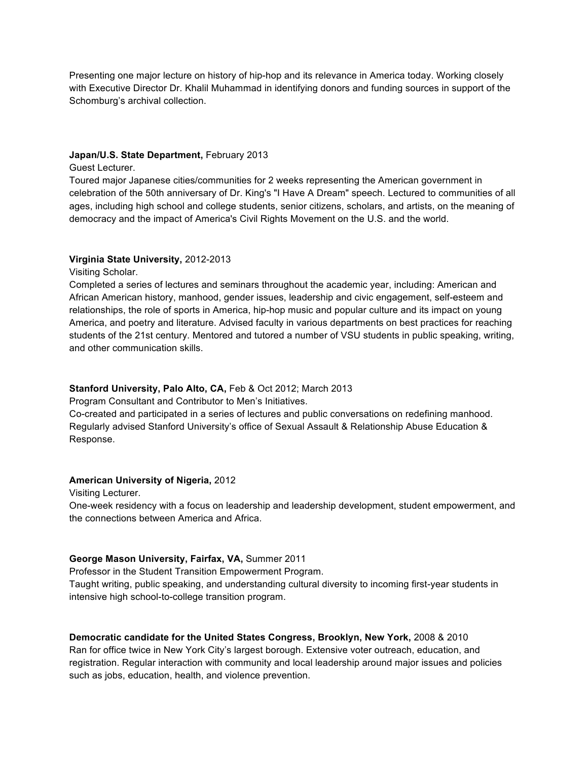Presenting one major lecture on history of hip-hop and its relevance in America today. Working closely with Executive Director Dr. Khalil Muhammad in identifying donors and funding sources in support of the Schomburg's archival collection.

## **Japan/U.S. State Department,** February 2013

Guest Lecturer.

Toured major Japanese cities/communities for 2 weeks representing the American government in celebration of the 50th anniversary of Dr. King's "I Have A Dream" speech. Lectured to communities of all ages, including high school and college students, senior citizens, scholars, and artists, on the meaning of democracy and the impact of America's Civil Rights Movement on the U.S. and the world.

## **Virginia State University,** 2012-2013

Visiting Scholar.

Completed a series of lectures and seminars throughout the academic year, including: American and African American history, manhood, gender issues, leadership and civic engagement, self-esteem and relationships, the role of sports in America, hip-hop music and popular culture and its impact on young America, and poetry and literature. Advised faculty in various departments on best practices for reaching students of the 21st century. Mentored and tutored a number of VSU students in public speaking, writing, and other communication skills.

## **Stanford University, Palo Alto, CA,** Feb & Oct 2012; March 2013

Program Consultant and Contributor to Men's Initiatives.

Co-created and participated in a series of lectures and public conversations on redefining manhood. Regularly advised Stanford University's office of Sexual Assault & Relationship Abuse Education & Response.

## **American University of Nigeria,** 2012

Visiting Lecturer.

One-week residency with a focus on leadership and leadership development, student empowerment, and the connections between America and Africa.

## **George Mason University, Fairfax, VA,** Summer 2011

Professor in the Student Transition Empowerment Program.

Taught writing, public speaking, and understanding cultural diversity to incoming first-year students in intensive high school-to-college transition program.

## **Democratic candidate for the United States Congress, Brooklyn, New York,** 2008 & 2010

Ran for office twice in New York City's largest borough. Extensive voter outreach, education, and registration. Regular interaction with community and local leadership around major issues and policies such as jobs, education, health, and violence prevention.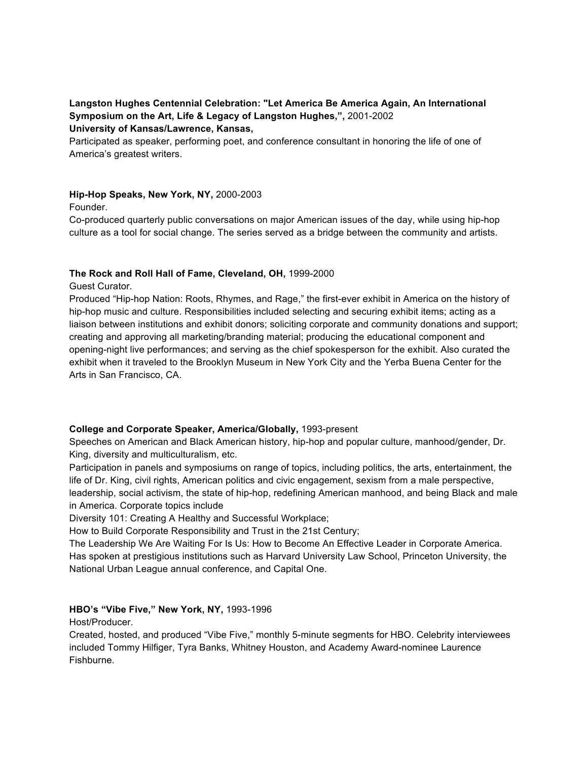# **Langston Hughes Centennial Celebration: "Let America Be America Again, An International Symposium on the Art, Life & Legacy of Langston Hughes,",** 2001-2002 **University of Kansas/Lawrence, Kansas,**

Participated as speaker, performing poet, and conference consultant in honoring the life of one of America's greatest writers.

# **Hip-Hop Speaks, New York, NY,** 2000-2003

## Founder.

Co-produced quarterly public conversations on major American issues of the day, while using hip-hop culture as a tool for social change. The series served as a bridge between the community and artists.

## **The Rock and Roll Hall of Fame, Cleveland, OH,** 1999-2000

Guest Curator.

Produced "Hip-hop Nation: Roots, Rhymes, and Rage," the first-ever exhibit in America on the history of hip-hop music and culture. Responsibilities included selecting and securing exhibit items; acting as a liaison between institutions and exhibit donors; soliciting corporate and community donations and support; creating and approving all marketing/branding material; producing the educational component and opening-night live performances; and serving as the chief spokesperson for the exhibit. Also curated the exhibit when it traveled to the Brooklyn Museum in New York City and the Yerba Buena Center for the Arts in San Francisco, CA.

# **College and Corporate Speaker, America/Globally,** 1993-present

Speeches on American and Black American history, hip-hop and popular culture, manhood/gender, Dr. King, diversity and multiculturalism, etc.

Participation in panels and symposiums on range of topics, including politics, the arts, entertainment, the life of Dr. King, civil rights, American politics and civic engagement, sexism from a male perspective, leadership, social activism, the state of hip-hop, redefining American manhood, and being Black and male in America. Corporate topics include

Diversity 101: Creating A Healthy and Successful Workplace;

How to Build Corporate Responsibility and Trust in the 21st Century;

The Leadership We Are Waiting For Is Us: How to Become An Effective Leader in Corporate America. Has spoken at prestigious institutions such as Harvard University Law School, Princeton University, the National Urban League annual conference, and Capital One.

# **HBO's "Vibe Five," New York, NY,** 1993-1996

Host/Producer.

Created, hosted, and produced "Vibe Five," monthly 5-minute segments for HBO. Celebrity interviewees included Tommy Hilfiger, Tyra Banks, Whitney Houston, and Academy Award-nominee Laurence Fishburne.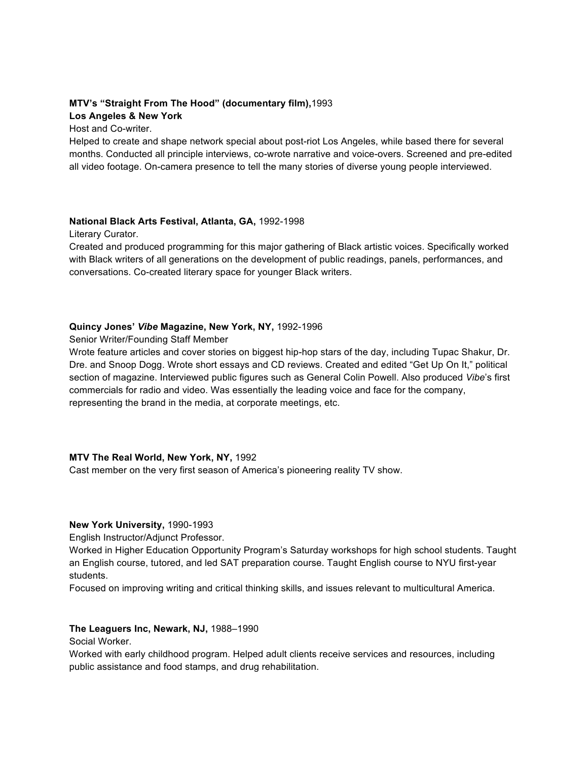# **MTV's "Straight From The Hood" (documentary film),**1993 **Los Angeles & New York**

Host and Co-writer.

Helped to create and shape network special about post-riot Los Angeles, while based there for several months. Conducted all principle interviews, co-wrote narrative and voice-overs. Screened and pre-edited all video footage. On-camera presence to tell the many stories of diverse young people interviewed.

## **National Black Arts Festival, Atlanta, GA,** 1992-1998

Literary Curator.

Created and produced programming for this major gathering of Black artistic voices. Specifically worked with Black writers of all generations on the development of public readings, panels, performances, and conversations. Co-created literary space for younger Black writers.

# **Quincy Jones'** *Vibe* **Magazine, New York, NY,** 1992-1996

Senior Writer/Founding Staff Member

Wrote feature articles and cover stories on biggest hip-hop stars of the day, including Tupac Shakur, Dr. Dre. and Snoop Dogg. Wrote short essays and CD reviews. Created and edited "Get Up On It," political section of magazine. Interviewed public figures such as General Colin Powell. Also produced *Vibe*'s first commercials for radio and video. Was essentially the leading voice and face for the company, representing the brand in the media, at corporate meetings, etc.

# **MTV The Real World, New York, NY,** 1992

Cast member on the very first season of America's pioneering reality TV show.

# **New York University,** 1990-1993

English Instructor/Adjunct Professor.

Worked in Higher Education Opportunity Program's Saturday workshops for high school students. Taught an English course, tutored, and led SAT preparation course. Taught English course to NYU first-year students.

Focused on improving writing and critical thinking skills, and issues relevant to multicultural America.

# **The Leaguers Inc, Newark, NJ,** 1988–1990

Social Worker.

Worked with early childhood program. Helped adult clients receive services and resources, including public assistance and food stamps, and drug rehabilitation.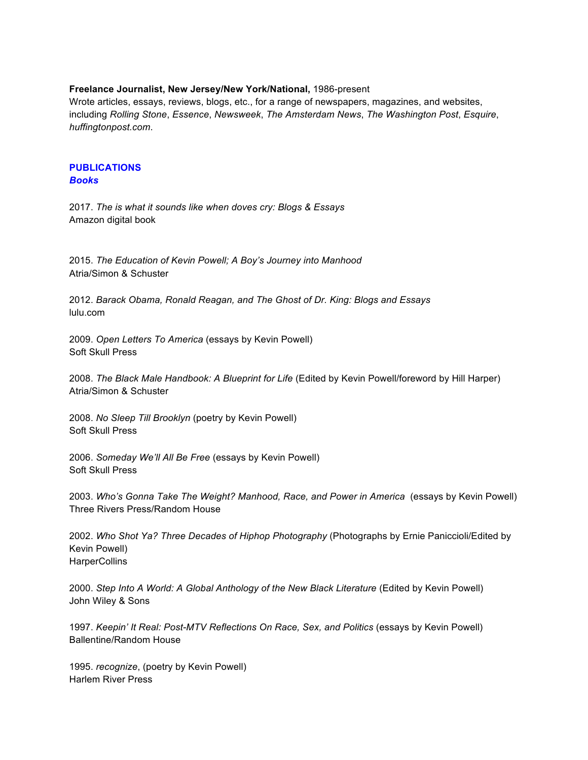## **Freelance Journalist, New Jersey/New York/National,** 1986-present

Wrote articles, essays, reviews, blogs, etc., for a range of newspapers, magazines, and websites, including *Rolling Stone*, *Essence*, *Newsweek*, *The Amsterdam News*, *The Washington Post*, *Esquire*, *huffingtonpost.com*.

#### **PUBLICATIONS** *Books*

2017. *The is what it sounds like when doves cry: Blogs & Essays* Amazon digital book

2015. *The Education of Kevin Powell; A Boy's Journey into Manhood* Atria/Simon & Schuster

2012. *Barack Obama, Ronald Reagan, and The Ghost of Dr. King: Blogs and Essays* lulu.com

2009. *Open Letters To America* (essays by Kevin Powell) Soft Skull Press

2008. *The Black Male Handbook: A Blueprint for Life* (Edited by Kevin Powell/foreword by Hill Harper) Atria/Simon & Schuster

2008. *No Sleep Till Brooklyn* (poetry by Kevin Powell) Soft Skull Press

2006. *Someday We'll All Be Free* (essays by Kevin Powell) Soft Skull Press

2003. *Who's Gonna Take The Weight? Manhood, Race, and Power in America* (essays by Kevin Powell) Three Rivers Press/Random House

2002. *Who Shot Ya? Three Decades of Hiphop Photography* (Photographs by Ernie Paniccioli/Edited by Kevin Powell) **HarperCollins** 

2000. *Step Into A World: A Global Anthology of the New Black Literature* (Edited by Kevin Powell) John Wiley & Sons

1997. *Keepin' It Real: Post-MTV Reflections On Race, Sex, and Politics* (essays by Kevin Powell) Ballentine/Random House

1995. *recognize*, (poetry by Kevin Powell) Harlem River Press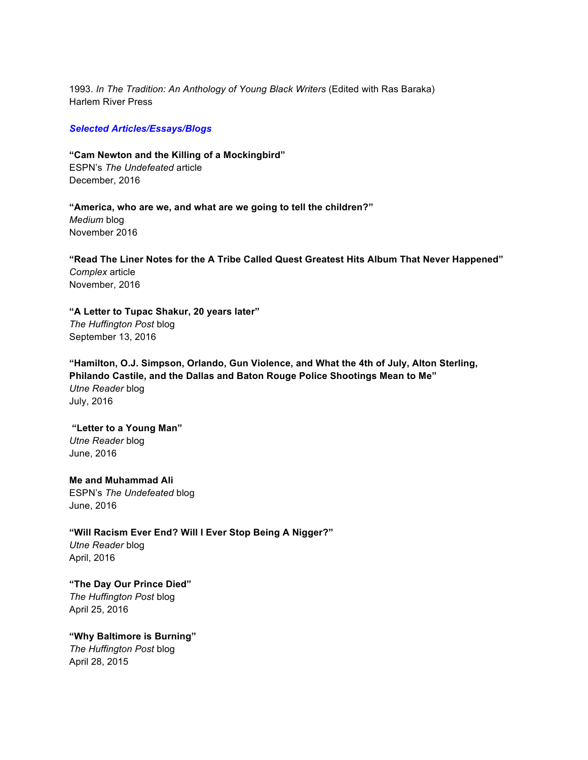1993. *In The Tradition: An Anthology of Young Black Writers* (Edited with Ras Baraka) Harlem River Press

### *Selected Articles/Essays/Blogs*

**"Cam Newton and the Killing of a Mockingbird"** ESPN's *The Undefeated* article December, 2016

**"America, who are we, and what are we going to tell the children?"** *Medium* blog November 2016

**"Read The Liner Notes for the A Tribe Called Quest Greatest Hits Album That Never Happened"** *Complex* article November, 2016

**"A Letter to Tupac Shakur, 20 years later"**  *The Huffington Post* blog September 13, 2016

**"Hamilton, O.J. Simpson, Orlando, Gun Violence, and What the 4th of July, Alton Sterling, Philando Castile, and the Dallas and Baton Rouge Police Shootings Mean to Me"** *Utne Reader* blog July, 2016

#### **"Letter to a Young Man"**

*Utne Reader* blog June, 2016

**Me and Muhammad Ali** ESPN's *The Undefeated* blog June, 2016

**"Will Racism Ever End? Will I Ever Stop Being A Nigger?"**

*Utne Reader* blog April, 2016

**"The Day Our Prince Died"**  *The Huffington Post* blog April 25, 2016

**"Why Baltimore is Burning"** *The Huffington Post* blog April 28, 2015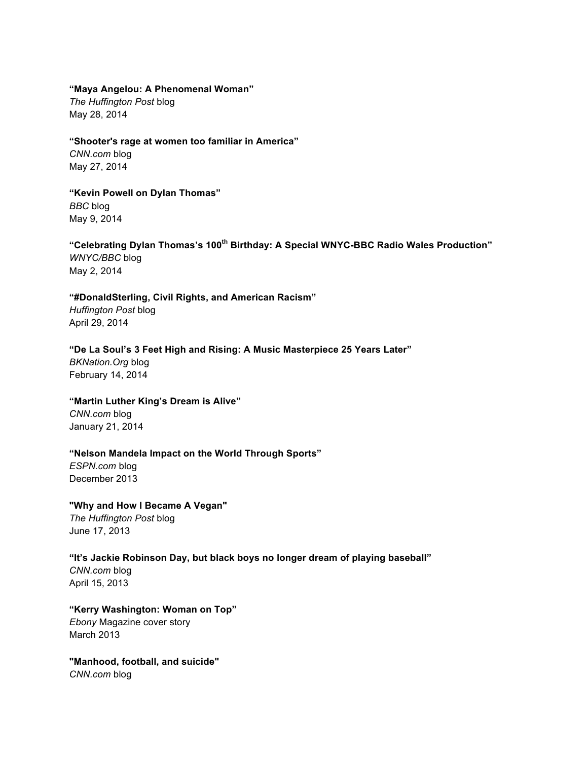## **"Maya Angelou: A Phenomenal Woman"**

*The Huffington Post* blog May 28, 2014

### **"Shooter's rage at women too familiar in America"**

*CNN.com* blog May 27, 2014

## **"Kevin Powell on Dylan Thomas"**

*BBC* blog May 9, 2014

# **"Celebrating Dylan Thomas's 100th Birthday: A Special WNYC-BBC Radio Wales Production"** *WNYC/BBC* blog May 2, 2014

# **"#DonaldSterling, Civil Rights, and American Racism"**

*Huffington Post* blog April 29, 2014

## **"De La Soul's 3 Feet High and Rising: A Music Masterpiece 25 Years Later"**

*BKNation.Org* blog February 14, 2014

# **"Martin Luther King's Dream is Alive"**

*CNN.com* blog January 21, 2014

# **"Nelson Mandela Impact on the World Through Sports"**

*ESPN.com* blog December 2013

# **"Why and How I Became A Vegan"**

*The Huffington Post* blog June 17, 2013

# **"It's Jackie Robinson Day, but black boys no longer dream of playing baseball"**

*CNN.com* blog April 15, 2013

# **"Kerry Washington: Woman on Top"** *Ebony* Magazine cover story March 2013

**"Manhood, football, and suicide"** *CNN.com* blog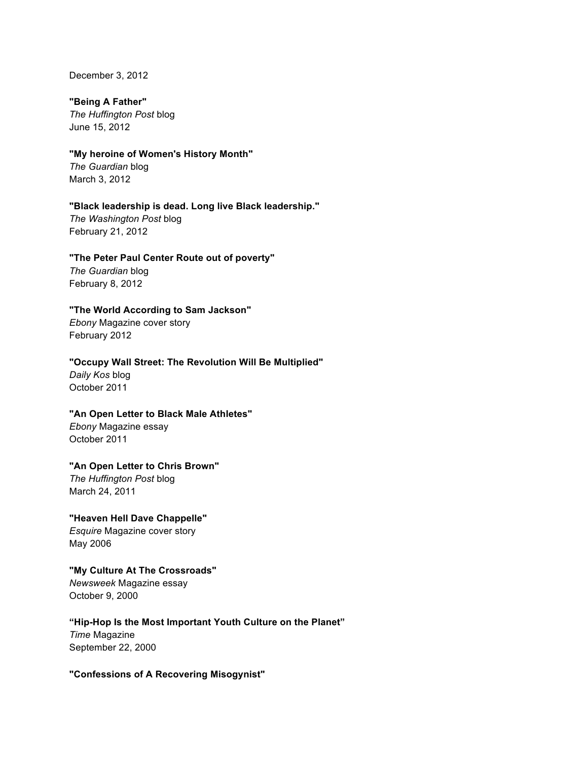December 3, 2012

## **"Being A Father"**

*The Huffington Post* blog June 15, 2012

# **"My heroine of Women's History Month"**

*The Guardian* blog March 3, 2012

# **"Black leadership is dead. Long live Black leadership."**

*The Washington Post* blog February 21, 2012

# **"The Peter Paul Center Route out of poverty"**

*The Guardian* blog February 8, 2012

# **"The World According to Sam Jackson"**

*Ebony* Magazine cover story February 2012

# **"Occupy Wall Street: The Revolution Will Be Multiplied"**

*Daily Kos* blog October 2011

# **"An Open Letter to Black Male Athletes"**

*Ebony* Magazine essay October 2011

# **"An Open Letter to Chris Brown"**

*The Huffington Post* blog March 24, 2011

# **"Heaven Hell Dave Chappelle"** *Esquire* Magazine cover story May 2006

# **"My Culture At The Crossroads"**

*Newsweek* Magazine essay October 9, 2000

# **"Hip-Hop Is the Most Important Youth Culture on the Planet"** *Time* Magazine September 22, 2000

# **"Confessions of A Recovering Misogynist"**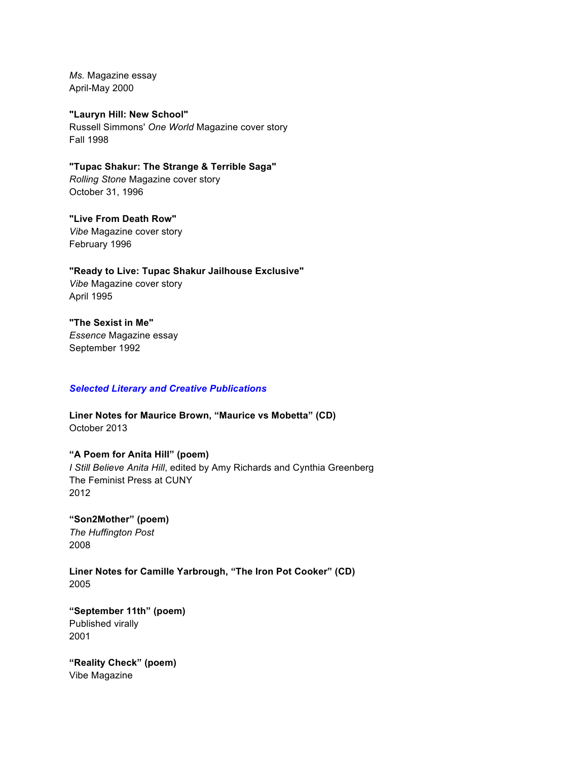*Ms.* Magazine essay April-May 2000

**"Lauryn Hill: New School"** Russell Simmons' *One World* Magazine cover story Fall 1998

**"Tupac Shakur: The Strange & Terrible Saga"** *Rolling Stone* Magazine cover story October 31, 1996

**"Live From Death Row"** *Vibe* Magazine cover story February 1996

**"Ready to Live: Tupac Shakur Jailhouse Exclusive"** *Vibe* Magazine cover story April 1995

**"The Sexist in Me"** *Essence* Magazine essay September 1992

## *Selected Literary and Creative Publications*

**Liner Notes for Maurice Brown, "Maurice vs Mobetta" (CD)** October 2013

**"A Poem for Anita Hill" (poem)** *I Still Believe Anita Hill*, edited by Amy Richards and Cynthia Greenberg The Feminist Press at CUNY 2012

**"Son2Mother" (poem)** *The Huffington Post* 2008

**Liner Notes for Camille Yarbrough, "The Iron Pot Cooker" (CD)** 2005

**"September 11th" (poem)** Published virally 2001

**"Reality Check" (poem)** Vibe Magazine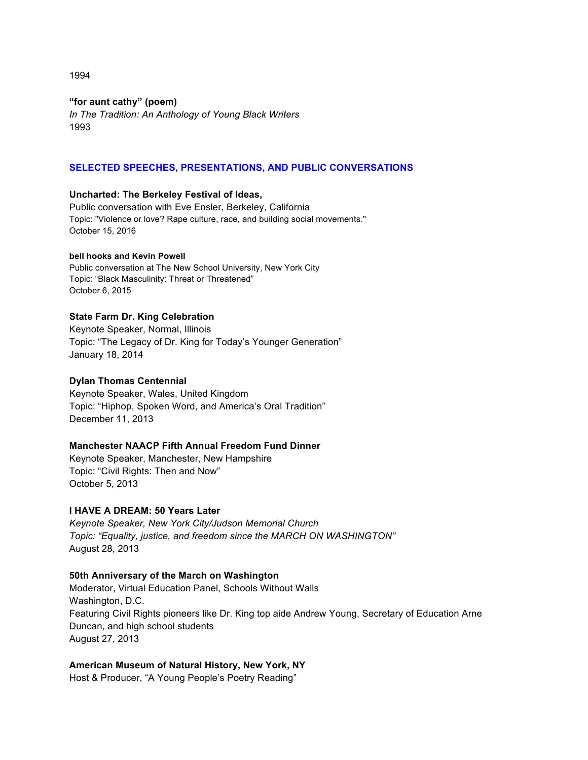1994

# **"for aunt cathy" (poem)**

*In The Tradition: An Anthology of Young Black Writers* 1993

# **SELECTED SPEECHES, PRESENTATIONS, AND PUBLIC CONVERSATIONS**

## **Uncharted: The Berkeley Festival of Ideas,**

Public conversation with Eve Ensler, Berkeley, California Topic: "Violence or love? Rape culture, race, and building social movements." October 15, 2016

## **bell hooks and Kevin Powell**

Public conversation at The New School University, New York City Topic: "Black Masculinity: Threat or Threatened" October 6, 2015

## **State Farm Dr. King Celebration**

Keynote Speaker, Normal, Illinois Topic: "The Legacy of Dr. King for Today's Younger Generation" January 18, 2014

## **Dylan Thomas Centennial**

Keynote Speaker, Wales, United Kingdom Topic: "Hiphop, Spoken Word, and America's Oral Tradition" December 11, 2013

## **Manchester NAACP Fifth Annual Freedom Fund Dinner**

Keynote Speaker, Manchester, New Hampshire Topic: "Civil Rights: Then and Now" October 5, 2013

## **I HAVE A DREAM: 50 Years Later**

*Keynote Speaker, New York City/Judson Memorial Church Topic: "Equality, justice, and freedom since the MARCH ON WASHINGTON"* August 28, 2013

## **50th Anniversary of the March on Washington**

Moderator, Virtual Education Panel, Schools Without Walls Washington, D.C. Featuring Civil Rights pioneers like Dr. King top aide Andrew Young, Secretary of Education Arne Duncan, and high school students August 27, 2013

## **American Museum of Natural History, New York, NY**

Host & Producer, "A Young People's Poetry Reading"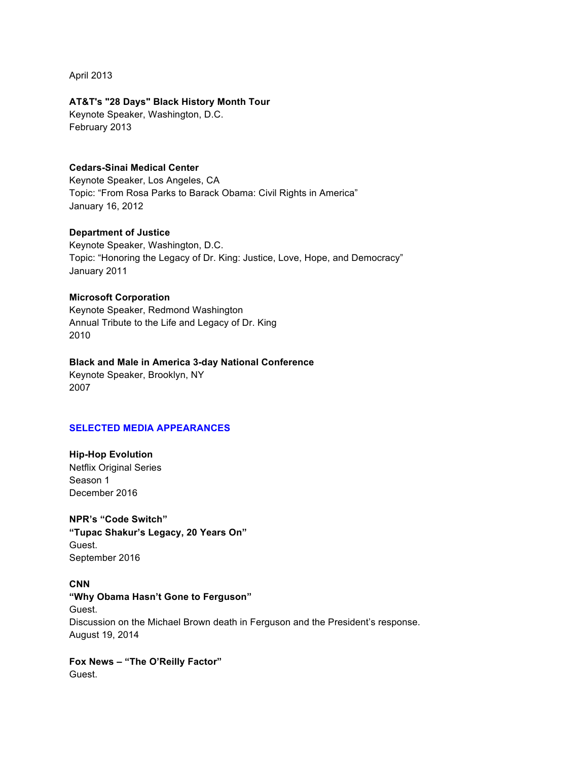April 2013

## **AT&T's "28 Days" Black History Month Tour**

Keynote Speaker, Washington, D.C. February 2013

# **Cedars-Sinai Medical Center**

Keynote Speaker, Los Angeles, CA Topic: "From Rosa Parks to Barack Obama: Civil Rights in America" January 16, 2012

# **Department of Justice**

Keynote Speaker, Washington, D.C. Topic: "Honoring the Legacy of Dr. King: Justice, Love, Hope, and Democracy" January 2011

## **Microsoft Corporation**

Keynote Speaker, Redmond Washington Annual Tribute to the Life and Legacy of Dr. King 2010

## **Black and Male in America 3-day National Conference**

Keynote Speaker, Brooklyn, NY 2007

# **SELECTED MEDIA APPEARANCES**

**Hip-Hop Evolution** Netflix Original Series Season 1 December 2016

**NPR's "Code Switch" "Tupac Shakur's Legacy, 20 Years On"** Guest. September 2016

**CNN "Why Obama Hasn't Gone to Ferguson"** Guest. Discussion on the Michael Brown death in Ferguson and the President's response. August 19, 2014

**Fox News – "The O'Reilly Factor"** Guest.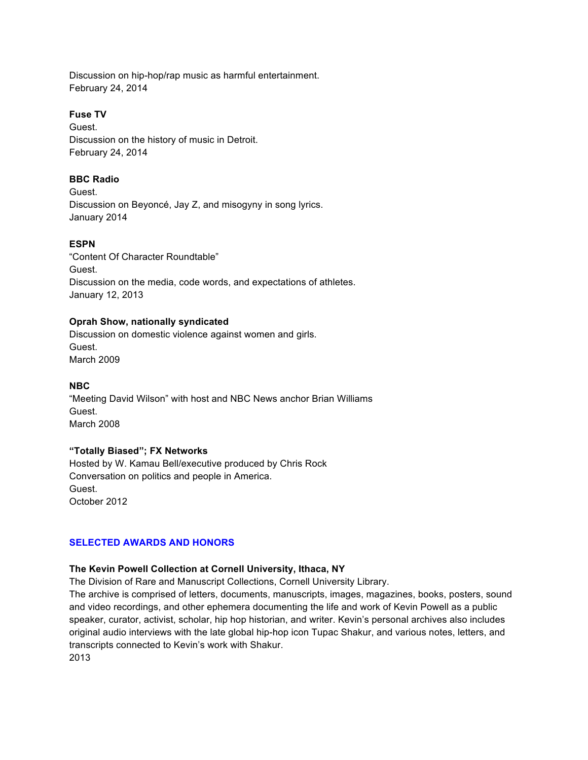Discussion on hip-hop/rap music as harmful entertainment. February 24, 2014

## **Fuse TV**

Guest. Discussion on the history of music in Detroit. February 24, 2014

# **BBC Radio**

Guest. Discussion on Beyoncé, Jay Z, and misogyny in song lyrics. January 2014

# **ESPN**

"Content Of Character Roundtable" Guest. Discussion on the media, code words, and expectations of athletes. January 12, 2013

# **Oprah Show, nationally syndicated**

Discussion on domestic violence against women and girls. Guest. March 2009

# **NBC**

"Meeting David Wilson" with host and NBC News anchor Brian Williams Guest. March 2008

# **"Totally Biased"; FX Networks**

Hosted by W. Kamau Bell/executive produced by Chris Rock Conversation on politics and people in America. Guest. October 2012

# **SELECTED AWARDS AND HONORS**

# **The Kevin Powell Collection at Cornell University, Ithaca, NY**

The Division of Rare and Manuscript Collections, Cornell University Library.

The archive is comprised of letters, documents, manuscripts, images, magazines, books, posters, sound and video recordings, and other ephemera documenting the life and work of Kevin Powell as a public speaker, curator, activist, scholar, hip hop historian, and writer. Kevin's personal archives also includes original audio interviews with the late global hip-hop icon Tupac Shakur, and various notes, letters, and transcripts connected to Kevin's work with Shakur. 2013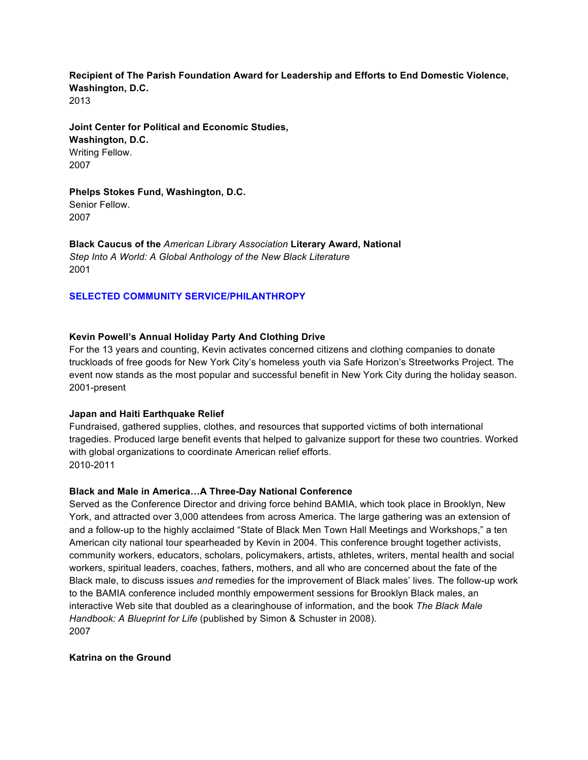## **Recipient of The Parish Foundation Award for Leadership and Efforts to End Domestic Violence, Washington, D.C.** 2013

**Joint Center for Political and Economic Studies, Washington, D.C.** Writing Fellow. 2007

**Phelps Stokes Fund, Washington, D.C.** Senior Fellow. 2007

**Black Caucus of the** *American Library Association* **Literary Award, National** *Step Into A World: A Global Anthology of the New Black Literature* 2001

# **SELECTED COMMUNITY SERVICE/PHILANTHROPY**

## **Kevin Powell's Annual Holiday Party And Clothing Drive**

For the 13 years and counting, Kevin activates concerned citizens and clothing companies to donate truckloads of free goods for New York City's homeless youth via Safe Horizon's Streetworks Project. The event now stands as the most popular and successful benefit in New York City during the holiday season. 2001-present

## **Japan and Haiti Earthquake Relief**

Fundraised, gathered supplies, clothes, and resources that supported victims of both international tragedies. Produced large benefit events that helped to galvanize support for these two countries. Worked with global organizations to coordinate American relief efforts. 2010-2011

## **Black and Male in America…A Three-Day National Conference**

Served as the Conference Director and driving force behind BAMIA, which took place in Brooklyn, New York, and attracted over 3,000 attendees from across America. The large gathering was an extension of and a follow-up to the highly acclaimed "State of Black Men Town Hall Meetings and Workshops," a ten American city national tour spearheaded by Kevin in 2004. This conference brought together activists, community workers, educators, scholars, policymakers, artists, athletes, writers, mental health and social workers, spiritual leaders, coaches, fathers, mothers, and all who are concerned about the fate of the Black male, to discuss issues *and* remedies for the improvement of Black males' lives. The follow-up work to the BAMIA conference included monthly empowerment sessions for Brooklyn Black males, an interactive Web site that doubled as a clearinghouse of information, and the book *The Black Male Handbook: A Blueprint for Life* (published by Simon & Schuster in 2008). 2007

## **Katrina on the Ground**